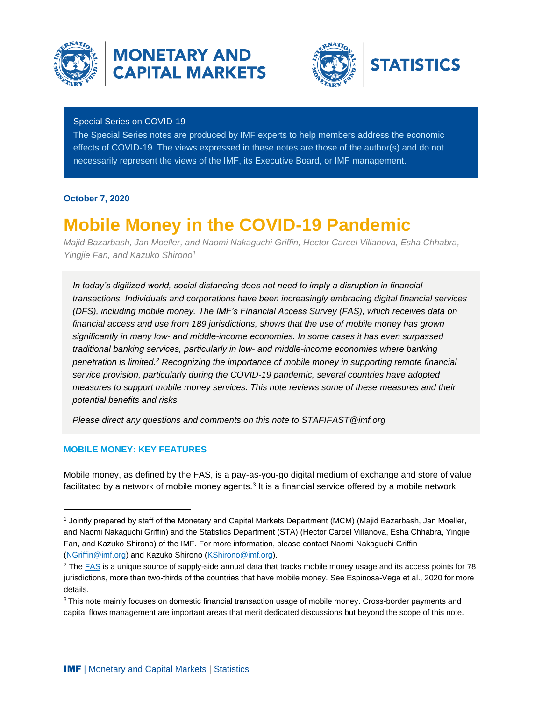

## **MONETARY AND CAPITAL MARKETS**



## Special Series on COVID-19

The Special Series notes are produced by IMF experts to help members address the economic effects of COVID-19. The views expressed in these notes are those of the author(s) and do not necessarily represent the views of the IMF, its Executive Board, or IMF management.

## **October 7, 2020**

# **Mobile Money in the COVID-19 Pandemic**

*Majid Bazarbash, Jan Moeller, and Naomi Nakaguchi Griffin, Hector Carcel Villanova, Esha Chhabra, Yingjie Fan, and Kazuko Shirono<sup>1</sup>*

*In today's digitized world, social distancing does not need to imply a disruption in financial transactions. Individuals and corporations have been increasingly embracing digital financial services (DFS), including mobile money. The IMF's Financial Access Survey (FAS), which receives data on financial access and use from 189 jurisdictions, shows that the use of mobile money has grown significantly in many low- and middle-income economies. In some cases it has even surpassed traditional banking services, particularly in low- and middle-income economies where banking penetration is limited.<sup>2</sup> Recognizing the importance of mobile money in supporting remote financial service provision, particularly during the COVID-19 pandemic, several countries have adopted measures to support mobile money services. This note reviews some of these measures and their potential benefits and risks.*

*Please direct any questions and comments on this note to STAFIFAST@imf.org*

## **MOBILE MONEY: KEY FEATURES**

Mobile money, as defined by the FAS, is a pay-as-you-go digital medium of exchange and store of value facilitated by a network of mobile money agents.<sup>3</sup> It is a financial service offered by a mobile network

<sup>1</sup> Jointly prepared by staff of the Monetary and Capital Markets Department (MCM) (Majid Bazarbash, Jan Moeller, and Naomi Nakaguchi Griffin) and the Statistics Department (STA) (Hector Carcel Villanova, Esha Chhabra, Yingjie Fan, and Kazuko Shirono) of the IMF. For more information, please contact Naomi Nakaguchi Griffin [\(NGriffin@imf.org\)](mailto:NGriffin@imf.org) and Kazuko Shirono [\(KShirono@imf.org\)](mailto:KShirono@imf.org).

<sup>&</sup>lt;sup>2</sup> The [FAS](https://data.imf.org/FAS) is a unique source of supply-side annual data that tracks mobile money usage and its access points for 78 jurisdictions, more than two-thirds of the countries that have mobile money. See Espinosa-Vega et al., 2020 for more details.

<sup>&</sup>lt;sup>3</sup> This note mainly focuses on domestic financial transaction usage of mobile money. Cross-border payments and capital flows management are important areas that merit dedicated discussions but beyond the scope of this note.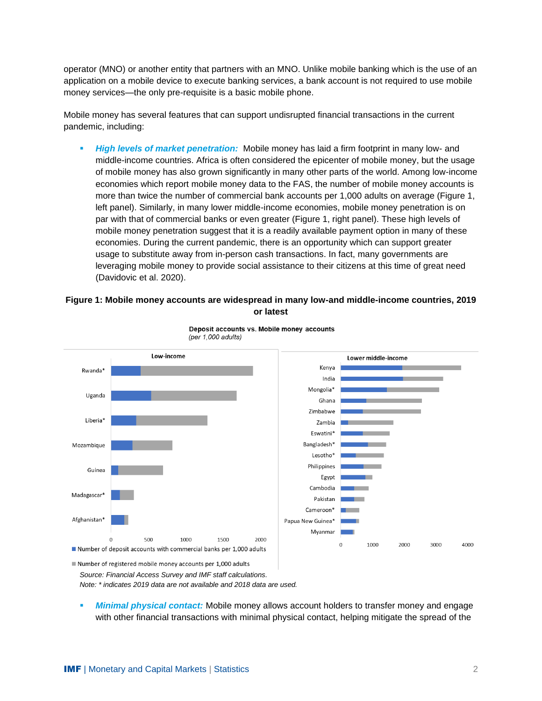operator (MNO) or another entity that partners with an MNO. Unlike mobile banking which is the use of an application on a mobile device to execute banking services, a bank account is not required to use mobile money services—the only pre-requisite is a basic mobile phone.

Mobile money has several features that can support undisrupted financial transactions in the current pandemic, including:

**High levels of market penetration:** Mobile money has laid a firm footprint in many low- and middle-income countries. Africa is often considered the epicenter of mobile money, but the usage of mobile money has also grown significantly in many other parts of the world. Among low-income economies which report mobile money data to the FAS, the number of mobile money accounts is more than twice the number of commercial bank accounts per 1,000 adults on average (Figure 1, left panel). Similarly, in many lower middle-income economies, mobile money penetration is on par with that of commercial banks or even greater (Figure 1, right panel). These high levels of mobile money penetration suggest that it is a readily available payment option in many of these economies. During the current pandemic, there is an opportunity which can support greater usage to substitute away from in-person cash transactions. In fact, many governments are leveraging mobile money to provide social assistance to their citizens at this time of great need (Davidovic et al. 2020).

## **Figure 1: Mobile money accounts are widespread in many low-and middle-income countries, 2019 or latest**



Deposit accounts vs. Mobile money accounts (per 1,000 adults)

Number of registered mobile money accounts per 1,000 adults *Source: Financial Access Survey and IMF staff calculations.*

*Note: \* indicates 2019 data are not available and 2018 data are used.* 

*Minimal physical contact:* Mobile money allows account holders to transfer money and engage with other financial transactions with minimal physical contact, helping mitigate the spread of the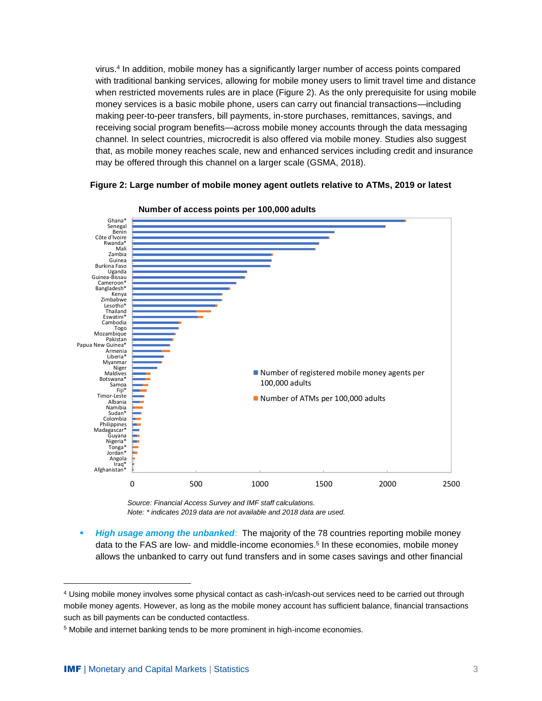virus.<sup>4</sup> In addition, mobile money has a significantly larger number of access points compared with traditional banking services, allowing for mobile money users to limit travel time and distance when restricted movements rules are in place (Figure 2). As the only prerequisite for using mobile money services is a basic mobile phone, users can carry out financial transactions—including making peer-to-peer transfers, bill payments, in-store purchases, remittances, savings, and receiving social program benefits—across mobile money accounts through the data messaging channel. In select countries, microcredit is also offered via mobile money. Studies also suggest that, as mobile money reaches scale, new and enhanced services including credit and insurance may be offered through this channel on a larger scale (GSMA, 2018).

**Figure 2: Large number of mobile money agent outlets relative to ATMs, 2019 or latest**





 *Source: Financial Access Survey and IMF staff calculations. Note: \* indicates 2019 data are not available and 2018 data are used.*

**EXTED** *High usage among the unbanked*: The majority of the 78 countries reporting mobile money data to the FAS are low- and middle-income economies.<sup>5</sup> In these economies, mobile money allows the unbanked to carry out fund transfers and in some cases savings and other financial

<sup>4</sup> Using mobile money involves some physical contact as cash-in/cash-out services need to be carried out through mobile money agents. However, as long as the mobile money account has sufficient balance, financial transactions such as bill payments can be conducted contactless.

<sup>5</sup> Mobile and internet banking tends to be more prominent in high-income economies.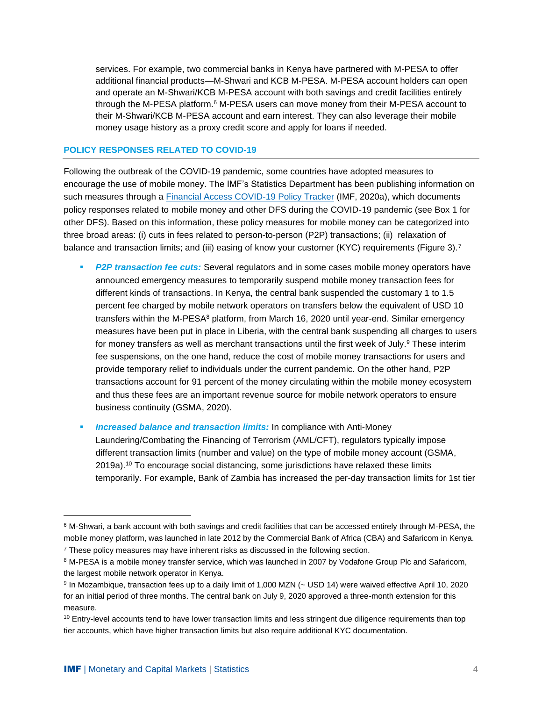services. For example, two commercial banks in Kenya have partnered with M-PESA to offer additional financial products—M-Shwari and KCB M-PESA. M-PESA account holders can open and operate an M-Shwari/KCB M-PESA account with both savings and credit facilities entirely through the M-PESA platform.<sup>6</sup> M-PESA users can move money from their M-PESA account to their M-Shwari/KCB M-PESA account and earn interest. They can also leverage their mobile money usage history as a proxy credit score and apply for loans if needed.

#### **POLICY RESPONSES RELATED TO COVID-19**

Following the outbreak of the COVID-19 pandemic, some countries have adopted measures to encourage the use of mobile money. The IMF's Statistics Department has been publishing information on such measures through a [Financial Access COVID-19 Policy Tracker](https://www.imf.org/~/media/Files/Topics/COVID/2020-fas-covid-19-policy-response-tracker-smes-and-mobile-money-080320.ashx) (IMF, 2020a), which documents policy responses related to mobile money and other DFS during the COVID-19 pandemic (see Box 1 for other DFS). Based on this information, these policy measures for mobile money can be categorized into three broad areas: (i) cuts in fees related to person-to-person (P2P) transactions; (ii) relaxation of balance and transaction limits; and (iii) easing of know your customer (KYC) requirements (Figure 3).<sup>7</sup>

- **P2P transaction fee cuts:** Several regulators and in some cases mobile money operators have announced emergency measures to temporarily suspend mobile money transaction fees for different kinds of transactions. In Kenya, the central bank suspended the customary 1 to 1.5 percent fee charged by mobile network operators on transfers below the equivalent of USD 10 transfers within the M-PESA<sup>8</sup> platform, from March 16, 2020 until year-end. Similar emergency measures have been put in place in Liberia, with the central bank suspending all charges to users for money transfers as well as merchant transactions until the first week of July. <sup>9</sup> These interim fee suspensions, on the one hand, reduce the cost of mobile money transactions for users and provide temporary relief to individuals under the current pandemic. On the other hand, P2P transactions account for 91 percent of the money circulating within the mobile money ecosystem and thus these fees are an important revenue source for mobile network operators to ensure business continuity (GSMA, 2020).
- **Increased balance and transaction limits:** In compliance with Anti-Money Laundering/Combating the Financing of Terrorism (AML/CFT), regulators typically impose different transaction limits (number and value) on the type of mobile money account (GSMA, 2019a). <sup>10</sup> To encourage social distancing, some jurisdictions have relaxed these limits temporarily. For example, Bank of Zambia has increased the per-day transaction limits for 1st tier

 $6$  M-Shwari, a bank account with both savings and credit facilities that can be accessed entirely through M-PESA, the mobile money platform, was launched in late 2012 by the Commercial Bank of Africa (CBA) and Safaricom in Kenya. <sup>7</sup> These policy measures may have inherent risks as discussed in the following section.

<sup>&</sup>lt;sup>8</sup> M-PESA is a mobile money transfer service, which was launched in 2007 by Vodafone Group Plc and Safaricom, the largest mobile network operator in Kenya.

<sup>9</sup> In Mozambique, transaction fees up to a daily limit of 1,000 MZN (~ USD 14) were waived effective April 10, 2020 for an initial period of three months. The central bank on July 9, 2020 approved a three-month extension for this measure.

<sup>&</sup>lt;sup>10</sup> Entry-level accounts tend to have lower transaction limits and less stringent due diligence requirements than top tier accounts, which have higher transaction limits but also require additional KYC documentation.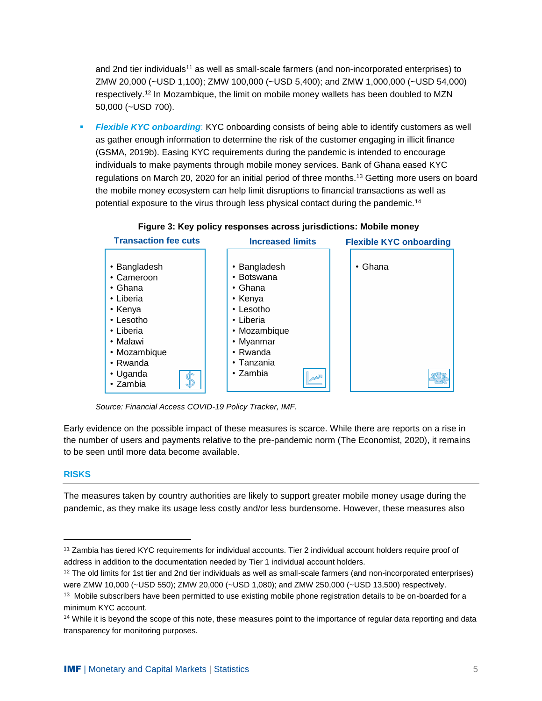and 2nd tier individuals<sup>11</sup> as well as small-scale farmers (and non-incorporated enterprises) to ZMW 20,000 (~USD 1,100); ZMW 100,000 (~USD 5,400); and ZMW 1,000,000 (~USD 54,000) respectively.<sup>12</sup> In Mozambique, the limit on mobile money wallets has been doubled to MZN 50,000 (~USD 700).

**Exible KYC onboarding:** KYC onboarding consists of being able to identify customers as well as gather enough information to determine the risk of the customer engaging in illicit finance (GSMA, 2019b). Easing KYC requirements during the pandemic is intended to encourage individuals to make payments through mobile money services. Bank of Ghana eased KYC regulations on March 20, 2020 for an initial period of three months.<sup>13</sup> Getting more users on board the mobile money ecosystem can help limit disruptions to financial transactions as well as potential exposure to the virus through less physical contact during the pandemic.<sup>14</sup>



## **Figure 3: Key policy responses across jurisdictions: Mobile money**

*Source: Financial Access COVID-19 Policy Tracker, IMF.*

Early evidence on the possible impact of these measures is scarce. While there are reports on a rise in the number of users and payments relative to the pre-pandemic norm (The Economist, 2020), it remains to be seen until more data become available.

#### **RISKS**

The measures taken by country authorities are likely to support greater mobile money usage during the pandemic, as they make its usage less costly and/or less burdensome. However, these measures also

<sup>11</sup> Zambia has tiered KYC requirements for individual accounts. Tier 2 individual account holders require proof of address in addition to the documentation needed by Tier 1 individual account holders.

<sup>&</sup>lt;sup>12</sup> The old limits for 1st tier and 2nd tier individuals as well as small-scale farmers (and non-incorporated enterprises) were ZMW 10,000 (~USD 550); ZMW 20,000 (~USD 1,080); and ZMW 250,000 (~USD 13,500) respectively.

<sup>&</sup>lt;sup>13</sup> Mobile subscribers have been permitted to use existing mobile phone registration details to be on-boarded for a minimum KYC account.

<sup>&</sup>lt;sup>14</sup> While it is beyond the scope of this note, these measures point to the importance of regular data reporting and data transparency for monitoring purposes.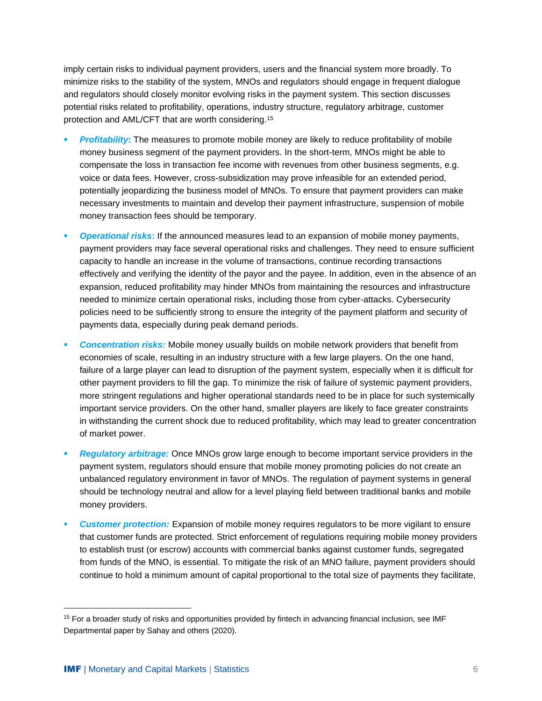imply certain risks to individual payment providers, users and the financial system more broadly. To minimize risks to the stability of the system, MNOs and regulators should engage in frequent dialogue and regulators should closely monitor evolving risks in the payment system. This section discusses potential risks related to profitability, operations, industry structure, regulatory arbitrage, customer protection and AML/CFT that are worth considering.<sup>15</sup>

- **Profitability:** The measures to promote mobile money are likely to reduce profitability of mobile money business segment of the payment providers. In the short-term, MNOs might be able to compensate the loss in transaction fee income with revenues from other business segments, e.g. voice or data fees. However, cross-subsidization may prove infeasible for an extended period, potentially jeopardizing the business model of MNOs. To ensure that payment providers can make necessary investments to maintain and develop their payment infrastructure, suspension of mobile money transaction fees should be temporary.
- **Operational risks:** If the announced measures lead to an expansion of mobile money payments, payment providers may face several operational risks and challenges. They need to ensure sufficient capacity to handle an increase in the volume of transactions, continue recording transactions effectively and verifying the identity of the payor and the payee. In addition, even in the absence of an expansion, reduced profitability may hinder MNOs from maintaining the resources and infrastructure needed to minimize certain operational risks, including those from cyber-attacks. Cybersecurity policies need to be sufficiently strong to ensure the integrity of the payment platform and security of payments data, especially during peak demand periods.
- **Concentration risks:** Mobile money usually builds on mobile network providers that benefit from economies of scale, resulting in an industry structure with a few large players. On the one hand, failure of a large player can lead to disruption of the payment system, especially when it is difficult for other payment providers to fill the gap. To minimize the risk of failure of systemic payment providers, more stringent regulations and higher operational standards need to be in place for such systemically important service providers. On the other hand, smaller players are likely to face greater constraints in withstanding the current shock due to reduced profitability, which may lead to greater concentration of market power.
- **Regulatory arbitrage:** Once MNOs grow large enough to become important service providers in the payment system, regulators should ensure that mobile money promoting policies do not create an unbalanced regulatory environment in favor of MNOs. The regulation of payment systems in general should be technology neutral and allow for a level playing field between traditional banks and mobile money providers.
- **Customer protection:** Expansion of mobile money requires regulators to be more vigilant to ensure that customer funds are protected. Strict enforcement of regulations requiring mobile money providers to establish trust (or escrow) accounts with commercial banks against customer funds, segregated from funds of the MNO, is essential. To mitigate the risk of an MNO failure, payment providers should continue to hold a minimum amount of capital proportional to the total size of payments they facilitate,

<sup>&</sup>lt;sup>15</sup> For a broader study of risks and opportunities provided by fintech in advancing financial inclusion, see IMF Departmental paper by Sahay and others (2020).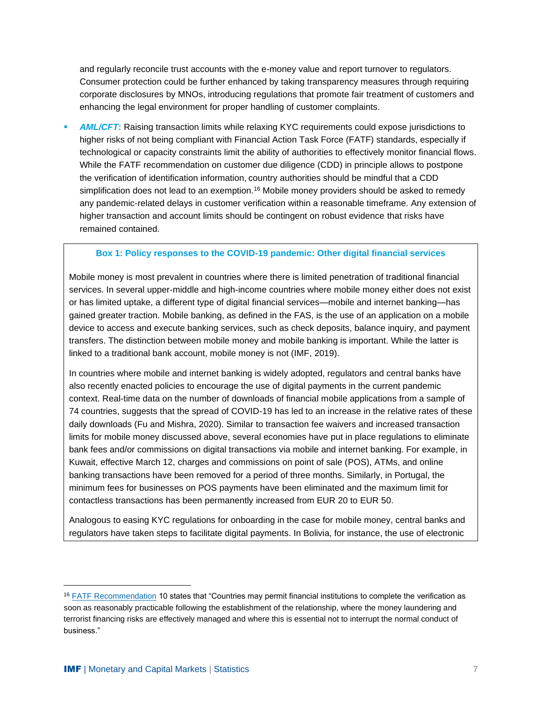and regularly reconcile trust accounts with the e-money value and report turnover to regulators. Consumer protection could be further enhanced by taking transparency measures through requiring corporate disclosures by MNOs, introducing regulations that promote fair treatment of customers and enhancing the legal environment for proper handling of customer complaints.

**AML/CFT:** Raising transaction limits while relaxing KYC requirements could expose jurisdictions to higher risks of not being compliant with Financial Action Task Force (FATF) standards, especially if technological or capacity constraints limit the ability of authorities to effectively monitor financial flows. While the FATF recommendation on customer due diligence (CDD) in principle allows to postpone the verification of identification information, country authorities should be mindful that a CDD simplification does not lead to an exemption.<sup>16</sup> Mobile money providers should be asked to remedy any pandemic-related delays in customer verification within a reasonable timeframe. Any extension of higher transaction and account limits should be contingent on robust evidence that risks have remained contained.

#### **Box 1: Policy responses to the COVID-19 pandemic: Other digital financial services**

Mobile money is most prevalent in countries where there is limited penetration of traditional financial services. In several upper-middle and high-income countries where mobile money either does not exist or has limited uptake, a different type of digital financial services—mobile and internet banking—has gained greater traction. Mobile banking, as defined in the FAS, is the use of an application on a mobile device to access and execute banking services, such as check deposits, balance inquiry, and payment transfers. The distinction between mobile money and mobile banking is important. While the latter is linked to a traditional bank account, mobile money is not (IMF, 2019).

In countries where mobile and internet banking is widely adopted, regulators and central banks have also recently enacted policies to encourage the use of digital payments in the current pandemic context. Real-time data on the number of downloads of financial mobile applications from a sample of 74 countries, suggests that the spread of COVID-19 has led to an increase in the relative rates of these daily downloads (Fu and Mishra, 2020). Similar to transaction fee waivers and increased transaction limits for mobile money discussed above, several economies have put in place regulations to eliminate bank fees and/or commissions on digital transactions via mobile and internet banking. For example, in Kuwait, effective March 12, charges and commissions on point of sale (POS), ATMs, and online banking transactions have been removed for a period of three months. Similarly, in Portugal, the minimum fees for businesses on POS payments have been eliminated and the maximum limit for contactless transactions has been permanently increased from EUR 20 to EUR 50.

Analogous to easing KYC regulations for onboarding in the case for mobile money, central banks and regulators have taken steps to facilitate digital payments. In Bolivia, for instance, the use of electronic

<sup>&</sup>lt;sup>16</sup> [FATF Recommendation](https://www.fatf-gafi.org/media/fatf/documents/recommendations/pdfs/FATF%20Recommendations%202012.pdf) 10 states that "Countries may permit financial institutions to complete the verification as soon as reasonably practicable following the establishment of the relationship, where the money laundering and terrorist financing risks are effectively managed and where this is essential not to interrupt the normal conduct of business."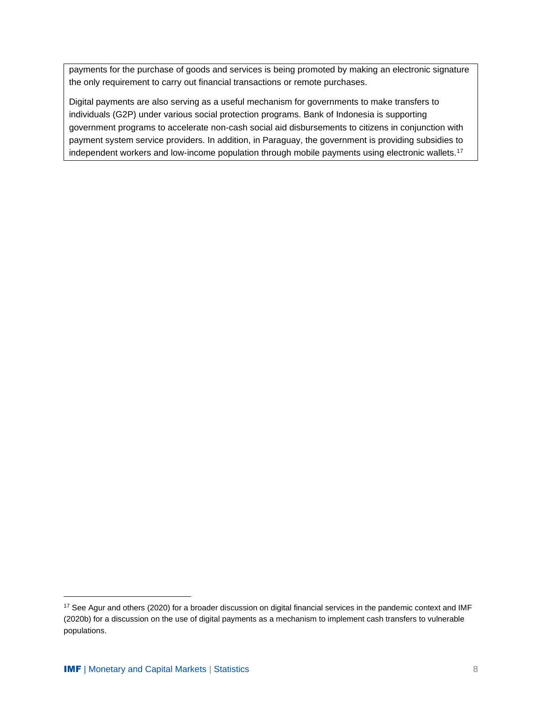payments for the purchase of goods and services is being promoted by making an electronic signature the only requirement to carry out financial transactions or remote purchases.

Digital payments are also serving as a useful mechanism for governments to make transfers to individuals (G2P) under various social protection programs. Bank of Indonesia is supporting government programs to accelerate non-cash social aid disbursements to citizens in conjunction with payment system service providers. In addition, in Paraguay, the government is providing subsidies to independent workers and low-income population through mobile payments using electronic wallets.<sup>17</sup>

<sup>&</sup>lt;sup>17</sup> See Agur and others (2020) for a broader discussion on digital financial services in the pandemic context and IMF (2020b) for a discussion on the use of digital payments as a mechanism to implement cash transfers to vulnerable populations.